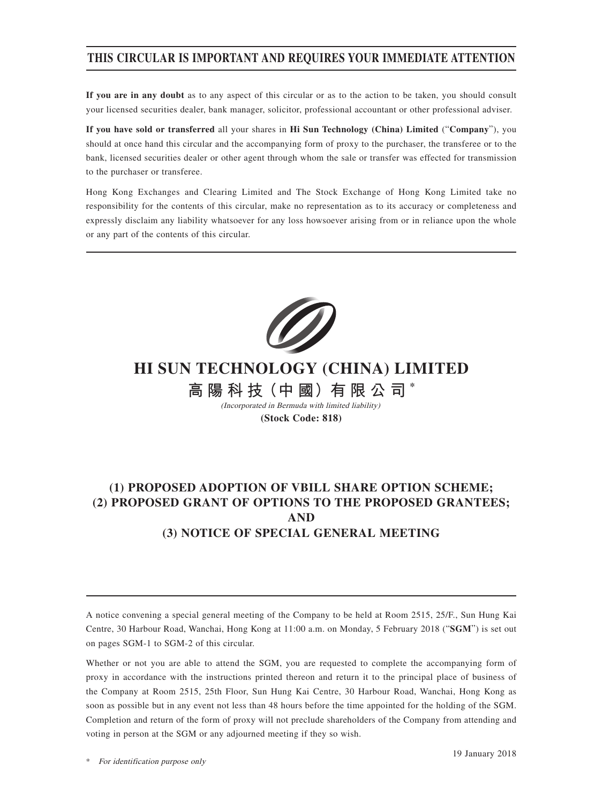## **THIS CIRCULAR IS IMPORTANT AND REQUIRES YOUR IMMEDIATE ATTENTION**

**If you are in any doubt** as to any aspect of this circular or as to the action to be taken, you should consult your licensed securities dealer, bank manager, solicitor, professional accountant or other professional adviser.

**If you have sold or transferred** all your shares in **Hi Sun Technology (China) Limited** ("**Company**"), you should at once hand this circular and the accompanying form of proxy to the purchaser, the transferee or to the bank, licensed securities dealer or other agent through whom the sale or transfer was effected for transmission to the purchaser or transferee.

Hong Kong Exchanges and Clearing Limited and The Stock Exchange of Hong Kong Limited take no responsibility for the contents of this circular, make no representation as to its accuracy or completeness and expressly disclaim any liability whatsoever for any loss howsoever arising from or in reliance upon the whole or any part of the contents of this circular.



# **HI SUN TECHNOLOGY (CHINA) LIMITED**

**高 陽 科 技(中 國)有 限 公 司 \*** (Incorporated in Bermuda with limited liability)

**(Stock Code: 818)**

## **(1) PROPOSED ADOPTION OF VBILL SHARE OPTION SCHEME; (2) PROPOSED GRANT OF OPTIONS TO THE PROPOSED GRANTEES; AND (3) NOTICE OF SPECIAL GENERAL MEETING**

A notice convening a special general meeting of the Company to be held at Room 2515, 25/F., Sun Hung Kai Centre, 30 Harbour Road, Wanchai, Hong Kong at 11:00 a.m. on Monday, 5 February 2018 ("**SGM**") is set out on pages SGM-1 to SGM-2 of this circular.

Whether or not you are able to attend the SGM, you are requested to complete the accompanying form of proxy in accordance with the instructions printed thereon and return it to the principal place of business of the Company at Room 2515, 25th Floor, Sun Hung Kai Centre, 30 Harbour Road, Wanchai, Hong Kong as soon as possible but in any event not less than 48 hours before the time appointed for the holding of the SGM. Completion and return of the form of proxy will not preclude shareholders of the Company from attending and voting in person at the SGM or any adjourned meeting if they so wish.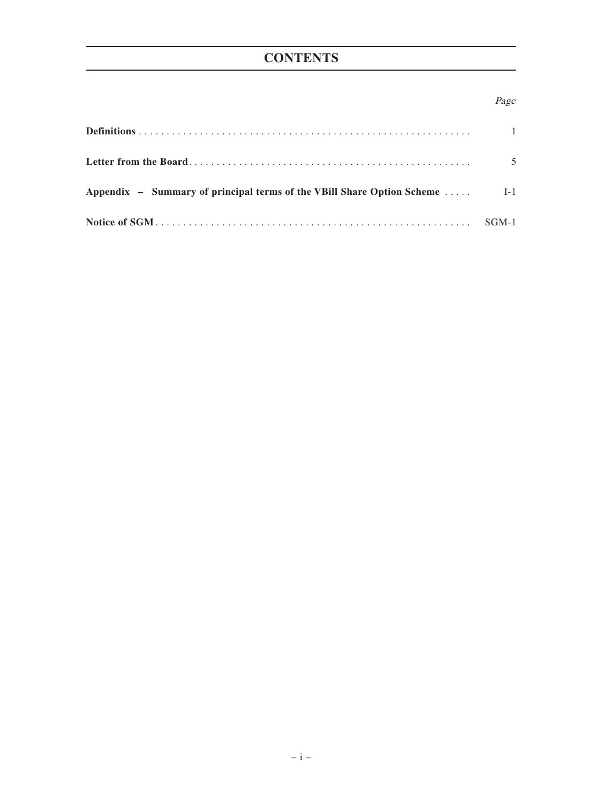# **CONTENTS**

## Page

|                                                                              | $\overline{1}$ |
|------------------------------------------------------------------------------|----------------|
|                                                                              | .5             |
| Appendix – Summary of principal terms of the VBill Share Option Scheme  [-1] |                |
|                                                                              | SGM-1          |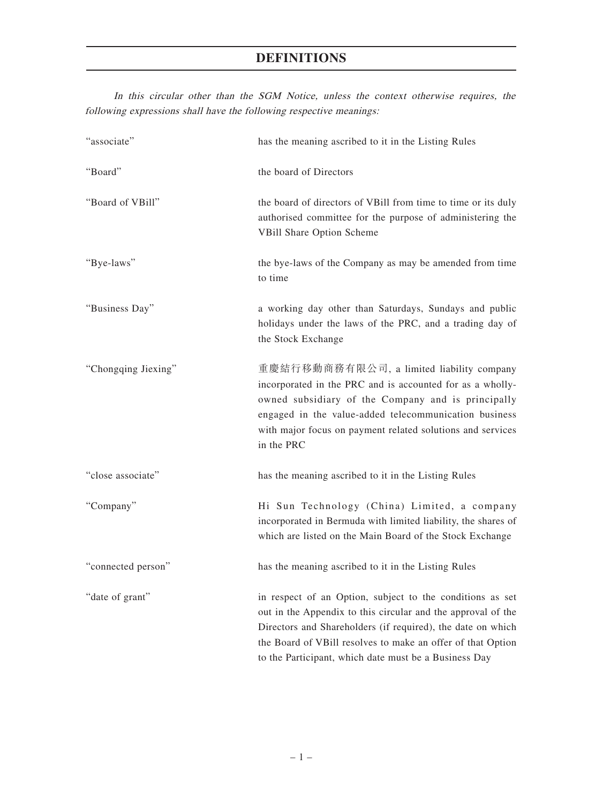In this circular other than the SGM Notice, unless the context otherwise requires, the following expressions shall have the following respective meanings:

| "associate"         | has the meaning ascribed to it in the Listing Rules                                                                                                                                                                                                                                                              |
|---------------------|------------------------------------------------------------------------------------------------------------------------------------------------------------------------------------------------------------------------------------------------------------------------------------------------------------------|
| "Board"             | the board of Directors                                                                                                                                                                                                                                                                                           |
| "Board of VBill"    | the board of directors of VBill from time to time or its duly<br>authorised committee for the purpose of administering the<br>VBill Share Option Scheme                                                                                                                                                          |
| "Bye-laws"          | the bye-laws of the Company as may be amended from time<br>to time                                                                                                                                                                                                                                               |
| "Business Day"      | a working day other than Saturdays, Sundays and public<br>holidays under the laws of the PRC, and a trading day of<br>the Stock Exchange                                                                                                                                                                         |
| "Chongqing Jiexing" | 重慶結行移動商務有限公司, a limited liability company<br>incorporated in the PRC and is accounted for as a wholly-<br>owned subsidiary of the Company and is principally<br>engaged in the value-added telecommunication business<br>with major focus on payment related solutions and services<br>in the PRC                |
| "close associate"   | has the meaning ascribed to it in the Listing Rules                                                                                                                                                                                                                                                              |
| "Company"           | Hi Sun Technology (China) Limited, a company<br>incorporated in Bermuda with limited liability, the shares of<br>which are listed on the Main Board of the Stock Exchange                                                                                                                                        |
| "connected person"  | has the meaning ascribed to it in the Listing Rules                                                                                                                                                                                                                                                              |
| "date of grant"     | in respect of an Option, subject to the conditions as set<br>out in the Appendix to this circular and the approval of the<br>Directors and Shareholders (if required), the date on which<br>the Board of VBill resolves to make an offer of that Option<br>to the Participant, which date must be a Business Day |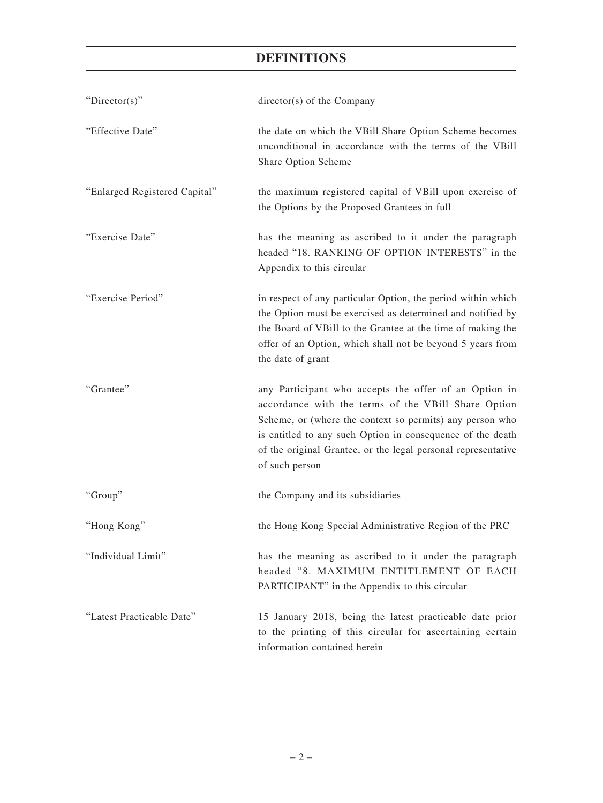| " $Directory$ "               | director(s) of the Company                                                                                                                                                                                                                                                                                                |
|-------------------------------|---------------------------------------------------------------------------------------------------------------------------------------------------------------------------------------------------------------------------------------------------------------------------------------------------------------------------|
| "Effective Date"              | the date on which the VBill Share Option Scheme becomes<br>unconditional in accordance with the terms of the VBill<br>Share Option Scheme                                                                                                                                                                                 |
| "Enlarged Registered Capital" | the maximum registered capital of VBill upon exercise of<br>the Options by the Proposed Grantees in full                                                                                                                                                                                                                  |
| "Exercise Date"               | has the meaning as ascribed to it under the paragraph<br>headed "18. RANKING OF OPTION INTERESTS" in the<br>Appendix to this circular                                                                                                                                                                                     |
| "Exercise Period"             | in respect of any particular Option, the period within which<br>the Option must be exercised as determined and notified by<br>the Board of VBill to the Grantee at the time of making the<br>offer of an Option, which shall not be beyond 5 years from<br>the date of grant                                              |
| "Grantee"                     | any Participant who accepts the offer of an Option in<br>accordance with the terms of the VBill Share Option<br>Scheme, or (where the context so permits) any person who<br>is entitled to any such Option in consequence of the death<br>of the original Grantee, or the legal personal representative<br>of such person |
| "Group"                       | the Company and its subsidiaries                                                                                                                                                                                                                                                                                          |
| "Hong Kong"                   | the Hong Kong Special Administrative Region of the PRC                                                                                                                                                                                                                                                                    |
| "Individual Limit"            | has the meaning as ascribed to it under the paragraph<br>headed "8. MAXIMUM ENTITLEMENT OF EACH<br>PARTICIPANT" in the Appendix to this circular                                                                                                                                                                          |
| "Latest Practicable Date"     | 15 January 2018, being the latest practicable date prior<br>to the printing of this circular for ascertaining certain<br>information contained herein                                                                                                                                                                     |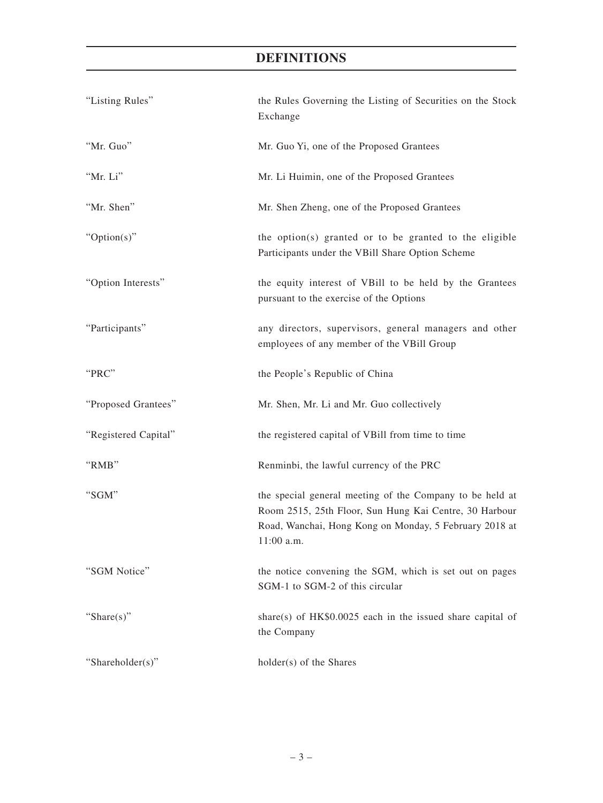| "Listing Rules"      | the Rules Governing the Listing of Securities on the Stock<br>Exchange                                                                                                                       |
|----------------------|----------------------------------------------------------------------------------------------------------------------------------------------------------------------------------------------|
| "Mr. Guo"            | Mr. Guo Yi, one of the Proposed Grantees                                                                                                                                                     |
| "Mr. Li"             | Mr. Li Huimin, one of the Proposed Grantees                                                                                                                                                  |
| "Mr. Shen"           | Mr. Shen Zheng, one of the Proposed Grantees                                                                                                                                                 |
| "Option(s)"          | the option(s) granted or to be granted to the eligible<br>Participants under the VBill Share Option Scheme                                                                                   |
| "Option Interests"   | the equity interest of VBill to be held by the Grantees<br>pursuant to the exercise of the Options                                                                                           |
| "Participants"       | any directors, supervisors, general managers and other<br>employees of any member of the VBill Group                                                                                         |
| "PRC"                | the People's Republic of China                                                                                                                                                               |
| "Proposed Grantees"  | Mr. Shen, Mr. Li and Mr. Guo collectively                                                                                                                                                    |
| "Registered Capital" | the registered capital of VBill from time to time                                                                                                                                            |
| "RMB"                | Renminbi, the lawful currency of the PRC                                                                                                                                                     |
| "SGM"                | the special general meeting of the Company to be held at<br>Room 2515, 25th Floor, Sun Hung Kai Centre, 30 Harbour<br>Road, Wanchai, Hong Kong on Monday, 5 February 2018 at<br>$11:00$ a.m. |
| "SGM Notice"         | the notice convening the SGM, which is set out on pages<br>SGM-1 to SGM-2 of this circular                                                                                                   |
| "Share $(s)$ "       | share(s) of $HK$0.0025$ each in the issued share capital of<br>the Company                                                                                                                   |
| "Shareholder(s)"     | holder(s) of the Shares                                                                                                                                                                      |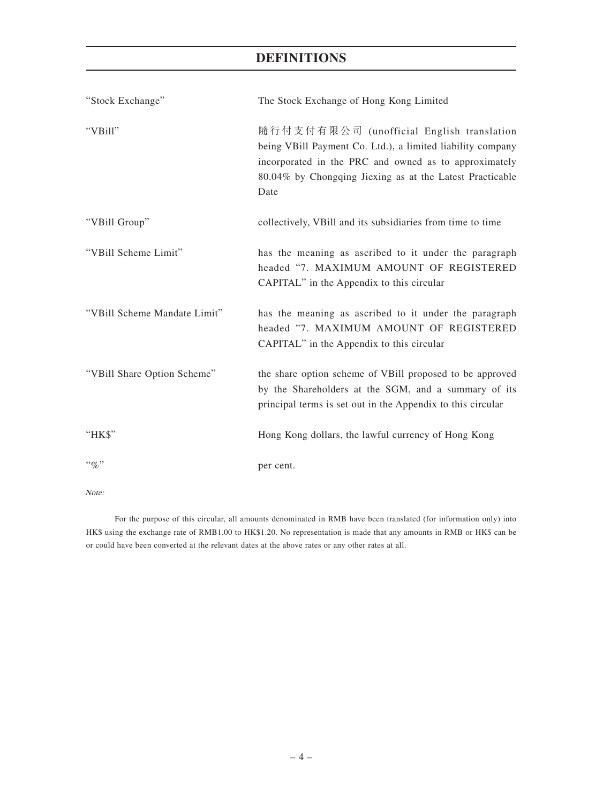| "Stock Exchange"             | The Stock Exchange of Hong Kong Limited                                                                                                                                                                                              |
|------------------------------|--------------------------------------------------------------------------------------------------------------------------------------------------------------------------------------------------------------------------------------|
| "VBill"                      | 隨行付支付有限公司 (unofficial English translation<br>being VBill Payment Co. Ltd.), a limited liability company<br>incorporated in the PRC and owned as to approximately<br>80.04% by Chongqing Jiexing as at the Latest Practicable<br>Date |
| "VBill Group"                | collectively, VBill and its subsidiaries from time to time                                                                                                                                                                           |
| "VBill Scheme Limit"         | has the meaning as ascribed to it under the paragraph<br>headed "7. MAXIMUM AMOUNT OF REGISTERED<br>CAPITAL" in the Appendix to this circular                                                                                        |
| "VBill Scheme Mandate Limit" | has the meaning as ascribed to it under the paragraph<br>headed "7. MAXIMUM AMOUNT OF REGISTERED<br>CAPITAL" in the Appendix to this circular                                                                                        |
| "VBill Share Option Scheme"  | the share option scheme of VBill proposed to be approved<br>by the Shareholders at the SGM, and a summary of its<br>principal terms is set out in the Appendix to this circular                                                      |
| "HK\$"                       | Hong Kong dollars, the lawful currency of Hong Kong                                                                                                                                                                                  |
| $``\%"$                      | per cent.                                                                                                                                                                                                                            |

Note:

For the purpose of this circular, all amounts denominated in RMB have been translated (for information only) into HK\$ using the exchange rate of RMB1.00 to HK\$1.20. No representation is made that any amounts in RMB or HK\$ can be or could have been converted at the relevant dates at the above rates or any other rates at all.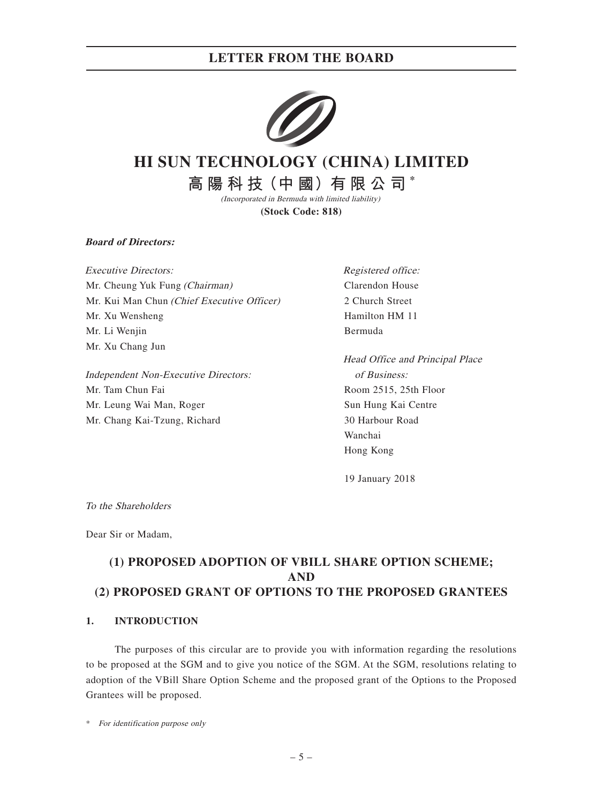

# **HI SUN TECHNOLOGY (CHINA) LIMITED**

**高 陽 科 技(中 國)有 限 公 司 \*** (Incorporated in Bermuda with limited liability)

**(Stock Code: 818)**

**Board of Directors:**

Executive Directors: Mr. Cheung Yuk Fung (Chairman) Mr. Kui Man Chun (Chief Executive Officer) Mr. Xu Wensheng Mr. Li Wenjin Mr. Xu Chang Jun

Independent Non-Executive Directors: Mr. Tam Chun Fai Mr. Leung Wai Man, Roger Mr. Chang Kai-Tzung, Richard

Registered office: Clarendon House 2 Church Street Hamilton HM 11 Bermuda

Head Office and Principal Place of Business: Room 2515, 25th Floor Sun Hung Kai Centre 30 Harbour Road Wanchai Hong Kong

19 January 2018

To the Shareholders

Dear Sir or Madam,

## **(1) PROPOSED ADOPTION OF VBILL SHARE OPTION SCHEME; AND (2) PROPOSED GRANT OF OPTIONS TO THE PROPOSED GRANTEES**

### **1. INTRODUCTION**

The purposes of this circular are to provide you with information regarding the resolutions to be proposed at the SGM and to give you notice of the SGM. At the SGM, resolutions relating to adoption of the VBill Share Option Scheme and the proposed grant of the Options to the Proposed Grantees will be proposed.

\* For identification purpose only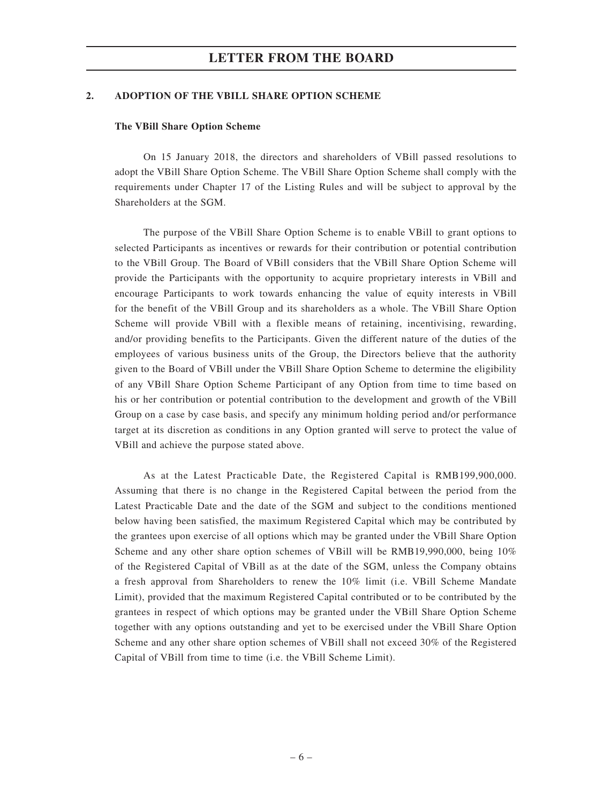#### **2. ADOPTION OF THE VBILL SHARE OPTION SCHEME**

#### **The VBill Share Option Scheme**

On 15 January 2018, the directors and shareholders of VBill passed resolutions to adopt the VBill Share Option Scheme. The VBill Share Option Scheme shall comply with the requirements under Chapter 17 of the Listing Rules and will be subject to approval by the Shareholders at the SGM.

The purpose of the VBill Share Option Scheme is to enable VBill to grant options to selected Participants as incentives or rewards for their contribution or potential contribution to the VBill Group. The Board of VBill considers that the VBill Share Option Scheme will provide the Participants with the opportunity to acquire proprietary interests in VBill and encourage Participants to work towards enhancing the value of equity interests in VBill for the benefit of the VBill Group and its shareholders as a whole. The VBill Share Option Scheme will provide VBill with a flexible means of retaining, incentivising, rewarding, and/or providing benefits to the Participants. Given the different nature of the duties of the employees of various business units of the Group, the Directors believe that the authority given to the Board of VBill under the VBill Share Option Scheme to determine the eligibility of any VBill Share Option Scheme Participant of any Option from time to time based on his or her contribution or potential contribution to the development and growth of the VBill Group on a case by case basis, and specify any minimum holding period and/or performance target at its discretion as conditions in any Option granted will serve to protect the value of VBill and achieve the purpose stated above.

As at the Latest Practicable Date, the Registered Capital is RMB199,900,000. Assuming that there is no change in the Registered Capital between the period from the Latest Practicable Date and the date of the SGM and subject to the conditions mentioned below having been satisfied, the maximum Registered Capital which may be contributed by the grantees upon exercise of all options which may be granted under the VBill Share Option Scheme and any other share option schemes of VBill will be RMB19,990,000, being 10% of the Registered Capital of VBill as at the date of the SGM, unless the Company obtains a fresh approval from Shareholders to renew the 10% limit (i.e. VBill Scheme Mandate Limit), provided that the maximum Registered Capital contributed or to be contributed by the grantees in respect of which options may be granted under the VBill Share Option Scheme together with any options outstanding and yet to be exercised under the VBill Share Option Scheme and any other share option schemes of VBill shall not exceed 30% of the Registered Capital of VBill from time to time (i.e. the VBill Scheme Limit).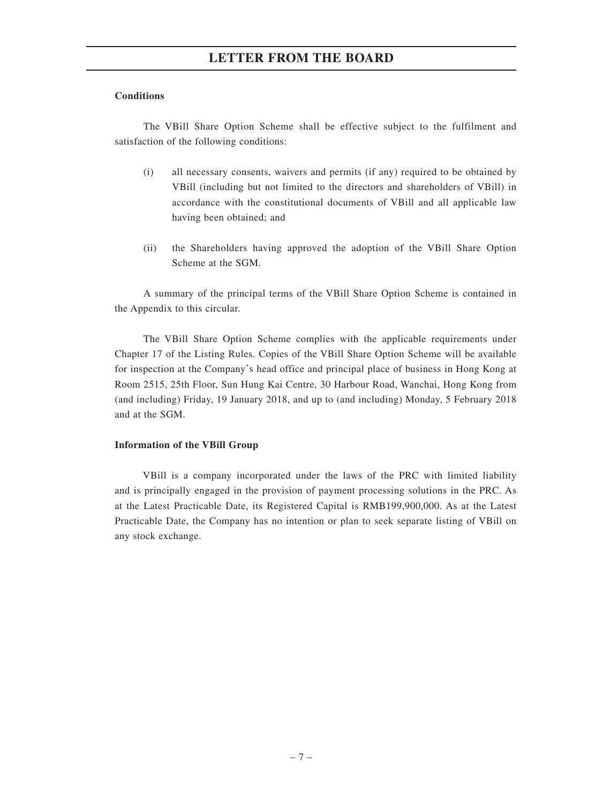#### **Conditions**

The VBill Share Option Scheme shall be effective subject to the fulfilment and satisfaction of the following conditions:

- (i) all necessary consents, waivers and permits (if any) required to be obtained by VBill (including but not limited to the directors and shareholders of VBill) in accordance with the constitutional documents of VBill and all applicable law having been obtained; and
- (ii) the Shareholders having approved the adoption of the VBill Share Option Scheme at the SGM.

A summary of the principal terms of the VBill Share Option Scheme is contained in the Appendix to this circular.

The VBill Share Option Scheme complies with the applicable requirements under Chapter 17 of the Listing Rules. Copies of the VBill Share Option Scheme will be available for inspection at the Company's head office and principal place of business in Hong Kong at Room 2515, 25th Floor, Sun Hung Kai Centre, 30 Harbour Road, Wanchai, Hong Kong from (and including) Friday, 19 January 2018, and up to (and including) Monday, 5 February 2018 and at the SGM.

#### **Information of the VBill Group**

VBill is a company incorporated under the laws of the PRC with limited liability and is principally engaged in the provision of payment processing solutions in the PRC. As at the Latest Practicable Date, its Registered Capital is RMB199,900,000. As at the Latest Practicable Date, the Company has no intention or plan to seek separate listing of VBill on any stock exchange.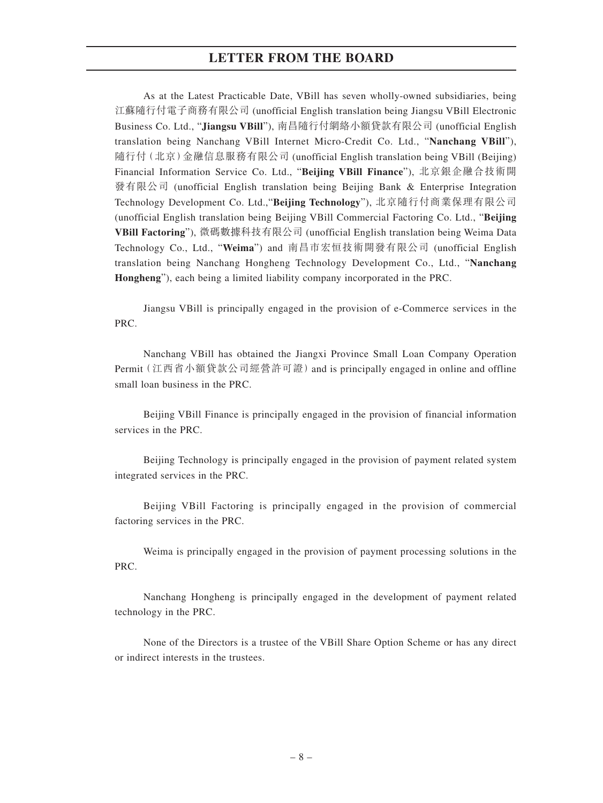As at the Latest Practicable Date, VBill has seven wholly-owned subsidiaries, being 江蘇隨行付電子商務有限公司 (unofficial English translation being Jiangsu VBill Electronic Business Co. Ltd., "**Jiangsu VBill**"), 南昌隨行付網絡小額貸款有限公司 (unofficial English translation being Nanchang VBill Internet Micro-Credit Co. Ltd., "**Nanchang VBill**"), 隨行付(北京)金融信息服務有限公司 (unofficial English translation being VBill (Beijing) Financial Information Service Co. Ltd., "**Beijing VBill Finance**"), 北京銀企融合技術開 發有限公司 (unofficial English translation being Beijing Bank & Enterprise Integration Technology Development Co. Ltd.,"**Beijing Technology**"), 北京隨行付商業保理有限公司 (unofficial English translation being Beijing VBill Commercial Factoring Co. Ltd., "**Beijing VBill Factoring**"), 微碼數據科技有限公司 (unofficial English translation being Weima Data Technology Co., Ltd., "**Weima**") and 南昌市宏恒技術開發有限公司 (unofficial English translation being Nanchang Hongheng Technology Development Co., Ltd., "**Nanchang Hongheng**"), each being a limited liability company incorporated in the PRC.

Jiangsu VBill is principally engaged in the provision of e-Commerce services in the PRC.

Nanchang VBill has obtained the Jiangxi Province Small Loan Company Operation Permit(江西省小額貸款公司經營許可證)and is principally engaged in online and offline small loan business in the PRC.

Beijing VBill Finance is principally engaged in the provision of financial information services in the PRC.

Beijing Technology is principally engaged in the provision of payment related system integrated services in the PRC.

Beijing VBill Factoring is principally engaged in the provision of commercial factoring services in the PRC.

Weima is principally engaged in the provision of payment processing solutions in the PRC.

Nanchang Hongheng is principally engaged in the development of payment related technology in the PRC.

None of the Directors is a trustee of the VBill Share Option Scheme or has any direct or indirect interests in the trustees.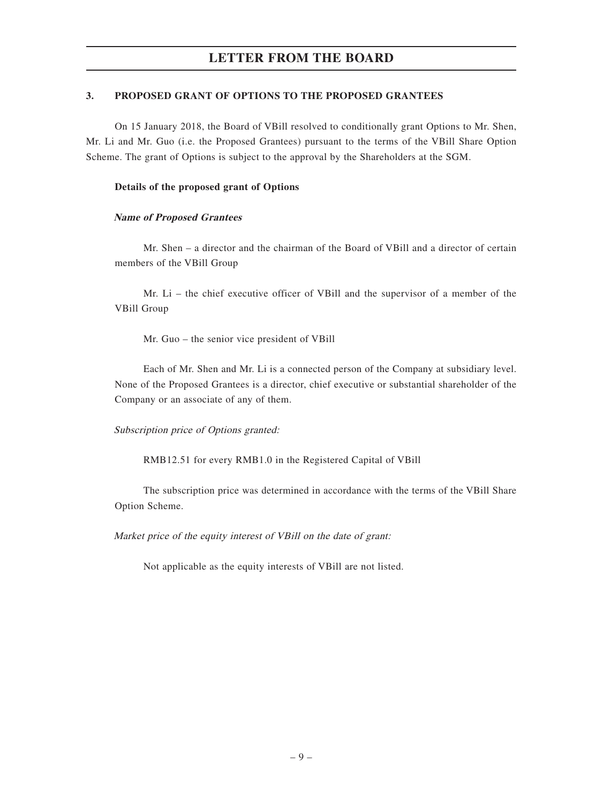### **3. PROPOSED GRANT OF OPTIONS TO THE PROPOSED GRANTEES**

On 15 January 2018, the Board of VBill resolved to conditionally grant Options to Mr. Shen, Mr. Li and Mr. Guo (i.e. the Proposed Grantees) pursuant to the terms of the VBill Share Option Scheme. The grant of Options is subject to the approval by the Shareholders at the SGM.

### **Details of the proposed grant of Options**

### **Name of Proposed Grantees**

Mr. Shen – a director and the chairman of the Board of VBill and a director of certain members of the VBill Group

Mr. Li – the chief executive officer of VBill and the supervisor of a member of the VBill Group

Mr. Guo – the senior vice president of VBill

Each of Mr. Shen and Mr. Li is a connected person of the Company at subsidiary level. None of the Proposed Grantees is a director, chief executive or substantial shareholder of the Company or an associate of any of them.

### Subscription price of Options granted:

RMB12.51 for every RMB1.0 in the Registered Capital of VBill

The subscription price was determined in accordance with the terms of the VBill Share Option Scheme.

Market price of the equity interest of VBill on the date of grant:

Not applicable as the equity interests of VBill are not listed.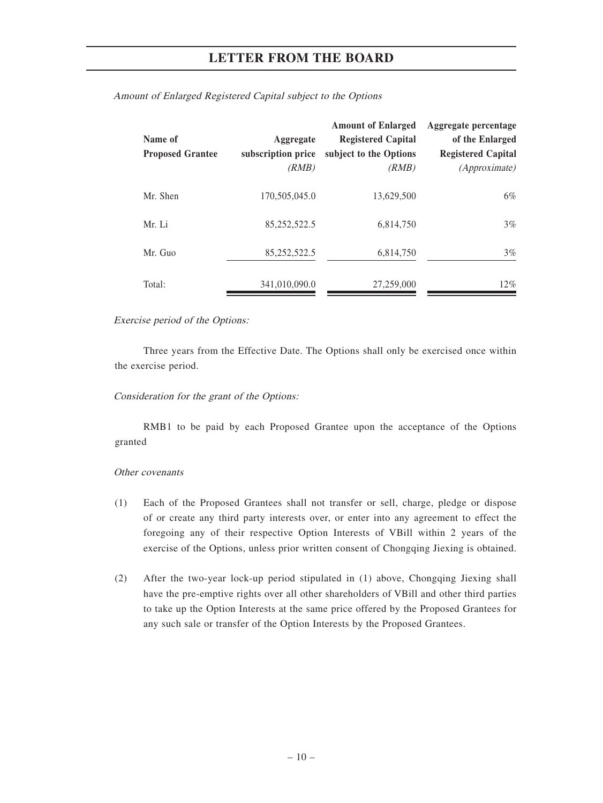| Name of<br><b>Proposed Grantee</b> | Aggregate<br>subscription price<br>(RMB) | <b>Amount of Enlarged</b><br><b>Registered Capital</b><br>subject to the Options<br>(RMB) | Aggregate percentage<br>of the Enlarged<br><b>Registered Capital</b><br>(Approximate) |
|------------------------------------|------------------------------------------|-------------------------------------------------------------------------------------------|---------------------------------------------------------------------------------------|
| Mr. Shen                           | 170,505,045.0                            | 13,629,500                                                                                | $6\%$                                                                                 |
| Mr. Li                             | 85,252,522.5                             | 6,814,750                                                                                 | $3\%$                                                                                 |
| Mr. Guo                            | 85,252,522.5                             | 6,814,750                                                                                 | $3\%$                                                                                 |
| Total:                             | 341,010,090.0                            | 27,259,000                                                                                | $12\%$                                                                                |

Amount of Enlarged Registered Capital subject to the Options

#### Exercise period of the Options:

Three years from the Effective Date. The Options shall only be exercised once within the exercise period.

#### Consideration for the grant of the Options:

RMB1 to be paid by each Proposed Grantee upon the acceptance of the Options granted

#### Other covenants

- (1) Each of the Proposed Grantees shall not transfer or sell, charge, pledge or dispose of or create any third party interests over, or enter into any agreement to effect the foregoing any of their respective Option Interests of VBill within 2 years of the exercise of the Options, unless prior written consent of Chongqing Jiexing is obtained.
- (2) After the two-year lock-up period stipulated in (1) above, Chongqing Jiexing shall have the pre-emptive rights over all other shareholders of VBill and other third parties to take up the Option Interests at the same price offered by the Proposed Grantees for any such sale or transfer of the Option Interests by the Proposed Grantees.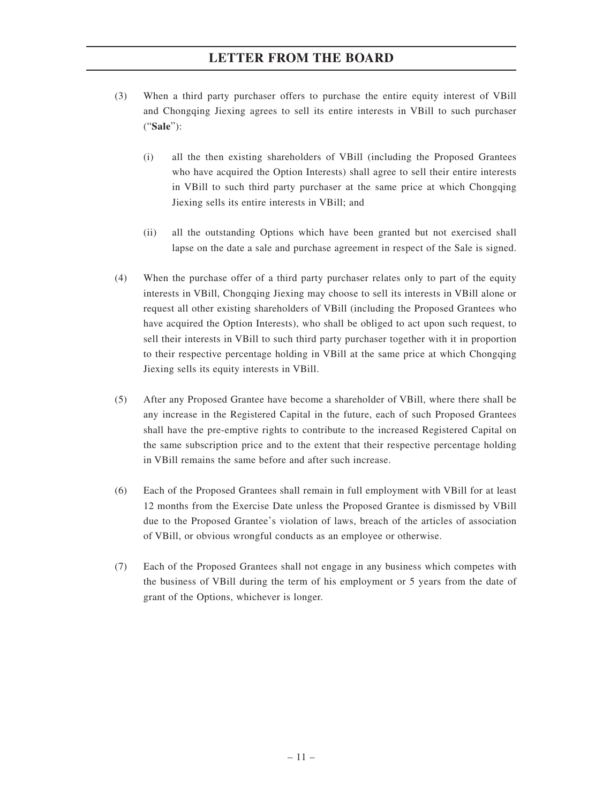- (3) When a third party purchaser offers to purchase the entire equity interest of VBill and Chongqing Jiexing agrees to sell its entire interests in VBill to such purchaser ("**Sale**"):
	- (i) all the then existing shareholders of VBill (including the Proposed Grantees who have acquired the Option Interests) shall agree to sell their entire interests in VBill to such third party purchaser at the same price at which Chongqing Jiexing sells its entire interests in VBill; and
	- (ii) all the outstanding Options which have been granted but not exercised shall lapse on the date a sale and purchase agreement in respect of the Sale is signed.
- (4) When the purchase offer of a third party purchaser relates only to part of the equity interests in VBill, Chongqing Jiexing may choose to sell its interests in VBill alone or request all other existing shareholders of VBill (including the Proposed Grantees who have acquired the Option Interests), who shall be obliged to act upon such request, to sell their interests in VBill to such third party purchaser together with it in proportion to their respective percentage holding in VBill at the same price at which Chongqing Jiexing sells its equity interests in VBill.
- (5) After any Proposed Grantee have become a shareholder of VBill, where there shall be any increase in the Registered Capital in the future, each of such Proposed Grantees shall have the pre-emptive rights to contribute to the increased Registered Capital on the same subscription price and to the extent that their respective percentage holding in VBill remains the same before and after such increase.
- (6) Each of the Proposed Grantees shall remain in full employment with VBill for at least 12 months from the Exercise Date unless the Proposed Grantee is dismissed by VBill due to the Proposed Grantee's violation of laws, breach of the articles of association of VBill, or obvious wrongful conducts as an employee or otherwise.
- (7) Each of the Proposed Grantees shall not engage in any business which competes with the business of VBill during the term of his employment or 5 years from the date of grant of the Options, whichever is longer.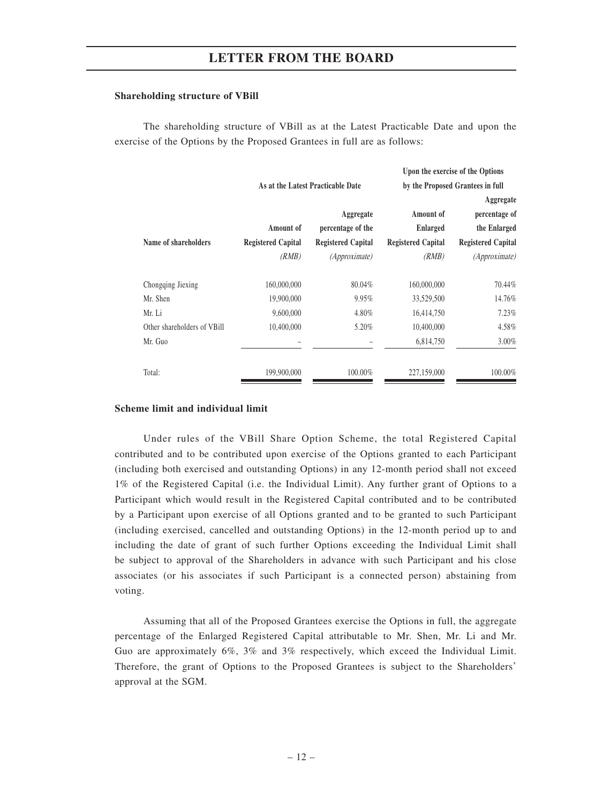#### **Shareholding structure of VBill**

The shareholding structure of VBill as at the Latest Practicable Date and upon the exercise of the Options by the Proposed Grantees in full are as follows:

|                             |                           |                                   |                           | Upon the exercise of the Options |
|-----------------------------|---------------------------|-----------------------------------|---------------------------|----------------------------------|
|                             |                           | As at the Latest Practicable Date |                           | by the Proposed Grantees in full |
|                             |                           |                                   |                           | Aggregate                        |
|                             |                           | Aggregate                         | Amount of                 | percentage of                    |
|                             | Amount of                 | percentage of the                 | <b>Enlarged</b>           | the Enlarged                     |
| Name of shareholders        | <b>Registered Capital</b> | <b>Registered Capital</b>         | <b>Registered Capital</b> | <b>Registered Capital</b>        |
|                             | (RMB)                     | <i>(Approximate)</i>              | (RMB)                     | <i>(Approximate)</i>             |
| Chongqing Jiexing           | 160,000,000               | 80.04%                            | 160,000,000               | 70.44%                           |
| Mr. Shen                    | 19,900,000                | 9.95%                             | 33,529,500                | 14.76%                           |
| Mr. Li                      | 9,600,000                 | 4.80%                             | 16,414,750                | 7.23%                            |
| Other shareholders of VBill | 10,400,000                | 5.20%                             | 10,400,000                | 4.58%                            |
| Mr. Guo                     |                           |                                   | 6,814,750                 | 3.00%                            |
| Total:                      | 199,900,000               | 100.00%                           | 227,159,000               | 100.00%                          |

#### **Scheme limit and individual limit**

Under rules of the VBill Share Option Scheme, the total Registered Capital contributed and to be contributed upon exercise of the Options granted to each Participant (including both exercised and outstanding Options) in any 12-month period shall not exceed 1% of the Registered Capital (i.e. the Individual Limit). Any further grant of Options to a Participant which would result in the Registered Capital contributed and to be contributed by a Participant upon exercise of all Options granted and to be granted to such Participant (including exercised, cancelled and outstanding Options) in the 12-month period up to and including the date of grant of such further Options exceeding the Individual Limit shall be subject to approval of the Shareholders in advance with such Participant and his close associates (or his associates if such Participant is a connected person) abstaining from voting.

Assuming that all of the Proposed Grantees exercise the Options in full, the aggregate percentage of the Enlarged Registered Capital attributable to Mr. Shen, Mr. Li and Mr. Guo are approximately 6%, 3% and 3% respectively, which exceed the Individual Limit. Therefore, the grant of Options to the Proposed Grantees is subject to the Shareholders' approval at the SGM.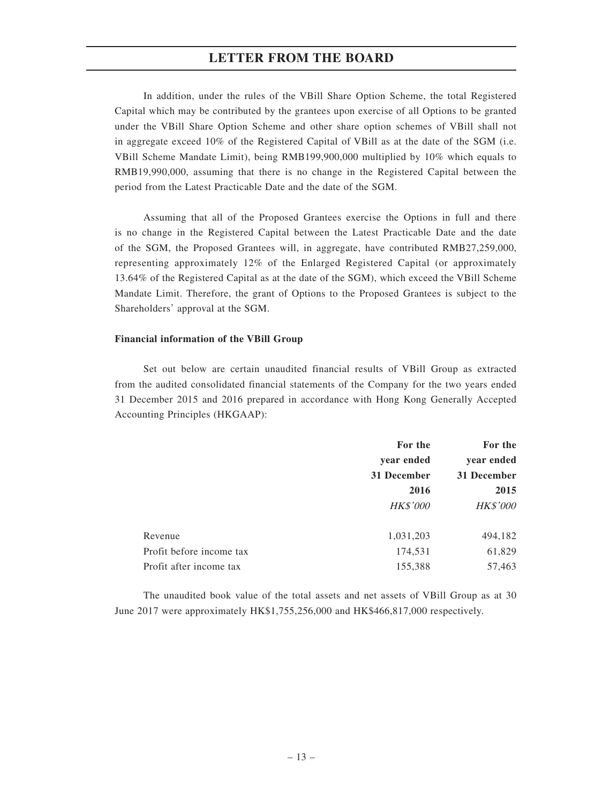In addition, under the rules of the VBill Share Option Scheme, the total Registered Capital which may be contributed by the grantees upon exercise of all Options to be granted under the VBill Share Option Scheme and other share option schemes of VBill shall not in aggregate exceed 10% of the Registered Capital of VBill as at the date of the SGM (i.e. VBill Scheme Mandate Limit), being RMB199,900,000 multiplied by 10% which equals to RMB19,990,000, assuming that there is no change in the Registered Capital between the period from the Latest Practicable Date and the date of the SGM.

Assuming that all of the Proposed Grantees exercise the Options in full and there is no change in the Registered Capital between the Latest Practicable Date and the date of the SGM, the Proposed Grantees will, in aggregate, have contributed RMB27,259,000, representing approximately 12% of the Enlarged Registered Capital (or approximately 13.64% of the Registered Capital as at the date of the SGM), which exceed the VBill Scheme Mandate Limit. Therefore, the grant of Options to the Proposed Grantees is subject to the Shareholders' approval at the SGM.

#### **Financial information of the VBill Group**

Set out below are certain unaudited financial results of VBill Group as extracted from the audited consolidated financial statements of the Company for the two years ended 31 December 2015 and 2016 prepared in accordance with Hong Kong Generally Accepted Accounting Principles (HKGAAP):

|                          | For the         | For the         |
|--------------------------|-----------------|-----------------|
|                          | year ended      | year ended      |
|                          | 31 December     | 31 December     |
|                          | 2016            | 2015            |
|                          | <b>HK\$'000</b> | <b>HK\$'000</b> |
| Revenue                  | 1,031,203       | 494,182         |
| Profit before income tax | 174,531         | 61,829          |
| Profit after income tax  | 155,388         | 57,463          |

The unaudited book value of the total assets and net assets of VBill Group as at 30 June 2017 were approximately HK\$1,755,256,000 and HK\$466,817,000 respectively.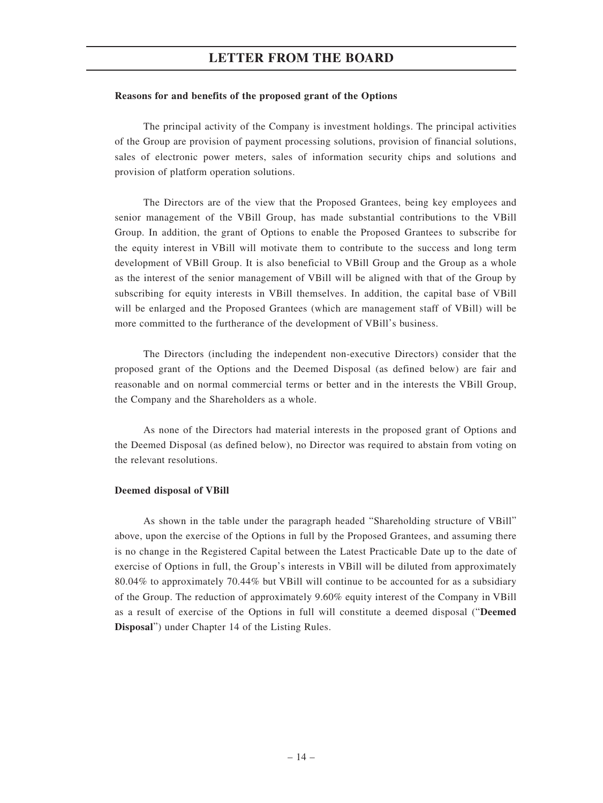#### **Reasons for and benefits of the proposed grant of the Options**

The principal activity of the Company is investment holdings. The principal activities of the Group are provision of payment processing solutions, provision of financial solutions, sales of electronic power meters, sales of information security chips and solutions and provision of platform operation solutions.

The Directors are of the view that the Proposed Grantees, being key employees and senior management of the VBill Group, has made substantial contributions to the VBill Group. In addition, the grant of Options to enable the Proposed Grantees to subscribe for the equity interest in VBill will motivate them to contribute to the success and long term development of VBill Group. It is also beneficial to VBill Group and the Group as a whole as the interest of the senior management of VBill will be aligned with that of the Group by subscribing for equity interests in VBill themselves. In addition, the capital base of VBill will be enlarged and the Proposed Grantees (which are management staff of VBill) will be more committed to the furtherance of the development of VBill's business.

The Directors (including the independent non-executive Directors) consider that the proposed grant of the Options and the Deemed Disposal (as defined below) are fair and reasonable and on normal commercial terms or better and in the interests the VBill Group, the Company and the Shareholders as a whole.

As none of the Directors had material interests in the proposed grant of Options and the Deemed Disposal (as defined below), no Director was required to abstain from voting on the relevant resolutions.

#### **Deemed disposal of VBill**

As shown in the table under the paragraph headed "Shareholding structure of VBill" above, upon the exercise of the Options in full by the Proposed Grantees, and assuming there is no change in the Registered Capital between the Latest Practicable Date up to the date of exercise of Options in full, the Group's interests in VBill will be diluted from approximately 80.04% to approximately 70.44% but VBill will continue to be accounted for as a subsidiary of the Group. The reduction of approximately 9.60% equity interest of the Company in VBill as a result of exercise of the Options in full will constitute a deemed disposal ("**Deemed Disposal**") under Chapter 14 of the Listing Rules.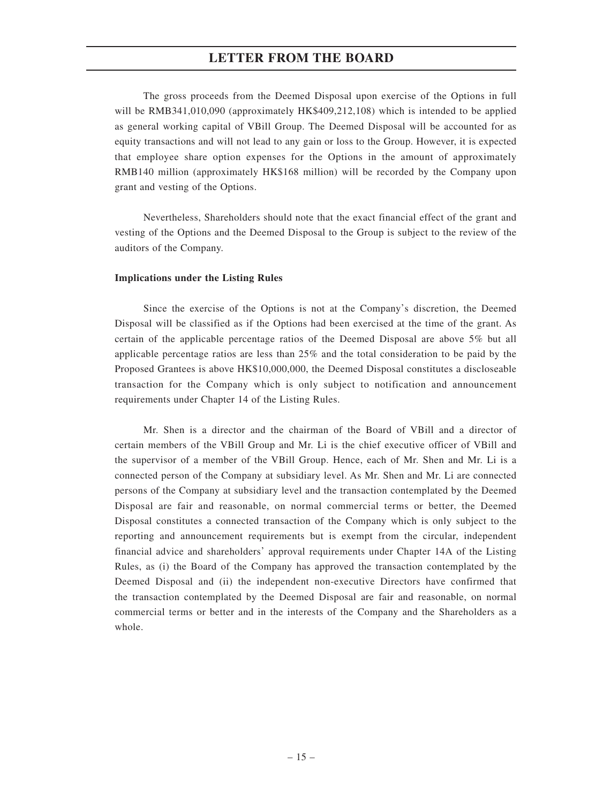The gross proceeds from the Deemed Disposal upon exercise of the Options in full will be RMB341,010,090 (approximately HK\$409,212,108) which is intended to be applied as general working capital of VBill Group. The Deemed Disposal will be accounted for as equity transactions and will not lead to any gain or loss to the Group. However, it is expected that employee share option expenses for the Options in the amount of approximately RMB140 million (approximately HK\$168 million) will be recorded by the Company upon grant and vesting of the Options.

Nevertheless, Shareholders should note that the exact financial effect of the grant and vesting of the Options and the Deemed Disposal to the Group is subject to the review of the auditors of the Company.

#### **Implications under the Listing Rules**

Since the exercise of the Options is not at the Company's discretion, the Deemed Disposal will be classified as if the Options had been exercised at the time of the grant. As certain of the applicable percentage ratios of the Deemed Disposal are above 5% but all applicable percentage ratios are less than 25% and the total consideration to be paid by the Proposed Grantees is above HK\$10,000,000, the Deemed Disposal constitutes a discloseable transaction for the Company which is only subject to notification and announcement requirements under Chapter 14 of the Listing Rules.

Mr. Shen is a director and the chairman of the Board of VBill and a director of certain members of the VBill Group and Mr. Li is the chief executive officer of VBill and the supervisor of a member of the VBill Group. Hence, each of Mr. Shen and Mr. Li is a connected person of the Company at subsidiary level. As Mr. Shen and Mr. Li are connected persons of the Company at subsidiary level and the transaction contemplated by the Deemed Disposal are fair and reasonable, on normal commercial terms or better, the Deemed Disposal constitutes a connected transaction of the Company which is only subject to the reporting and announcement requirements but is exempt from the circular, independent financial advice and shareholders' approval requirements under Chapter 14A of the Listing Rules, as (i) the Board of the Company has approved the transaction contemplated by the Deemed Disposal and (ii) the independent non-executive Directors have confirmed that the transaction contemplated by the Deemed Disposal are fair and reasonable, on normal commercial terms or better and in the interests of the Company and the Shareholders as a whole.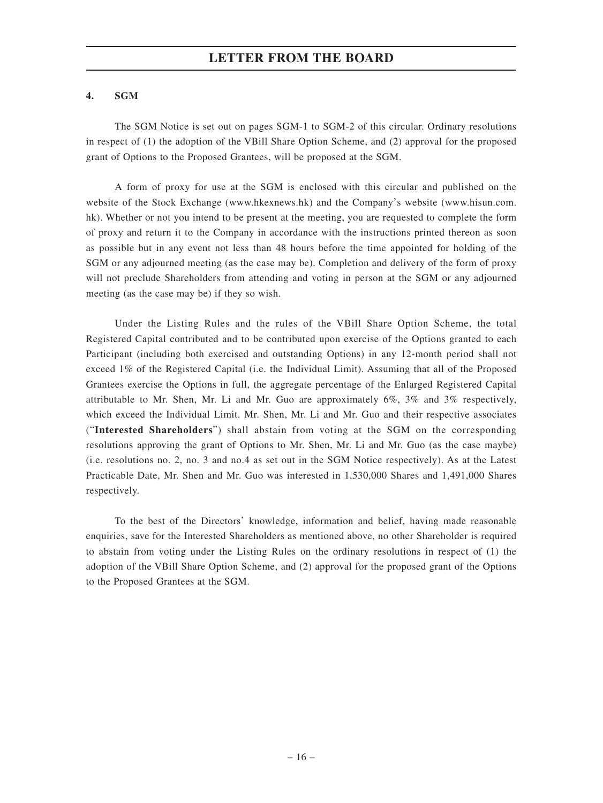### **4. SGM**

The SGM Notice is set out on pages SGM-1 to SGM-2 of this circular. Ordinary resolutions in respect of (1) the adoption of the VBill Share Option Scheme, and (2) approval for the proposed grant of Options to the Proposed Grantees, will be proposed at the SGM.

A form of proxy for use at the SGM is enclosed with this circular and published on the website of the Stock Exchange (www.hkexnews.hk) and the Company's website (www.hisun.com. hk). Whether or not you intend to be present at the meeting, you are requested to complete the form of proxy and return it to the Company in accordance with the instructions printed thereon as soon as possible but in any event not less than 48 hours before the time appointed for holding of the SGM or any adjourned meeting (as the case may be). Completion and delivery of the form of proxy will not preclude Shareholders from attending and voting in person at the SGM or any adjourned meeting (as the case may be) if they so wish.

Under the Listing Rules and the rules of the VBill Share Option Scheme, the total Registered Capital contributed and to be contributed upon exercise of the Options granted to each Participant (including both exercised and outstanding Options) in any 12-month period shall not exceed 1% of the Registered Capital (i.e. the Individual Limit). Assuming that all of the Proposed Grantees exercise the Options in full, the aggregate percentage of the Enlarged Registered Capital attributable to Mr. Shen, Mr. Li and Mr. Guo are approximately 6%, 3% and 3% respectively, which exceed the Individual Limit. Mr. Shen, Mr. Li and Mr. Guo and their respective associates ("**Interested Shareholders**") shall abstain from voting at the SGM on the corresponding resolutions approving the grant of Options to Mr. Shen, Mr. Li and Mr. Guo (as the case maybe) (i.e. resolutions no. 2, no. 3 and no.4 as set out in the SGM Notice respectively). As at the Latest Practicable Date, Mr. Shen and Mr. Guo was interested in 1,530,000 Shares and 1,491,000 Shares respectively.

To the best of the Directors' knowledge, information and belief, having made reasonable enquiries, save for the Interested Shareholders as mentioned above, no other Shareholder is required to abstain from voting under the Listing Rules on the ordinary resolutions in respect of (1) the adoption of the VBill Share Option Scheme, and (2) approval for the proposed grant of the Options to the Proposed Grantees at the SGM.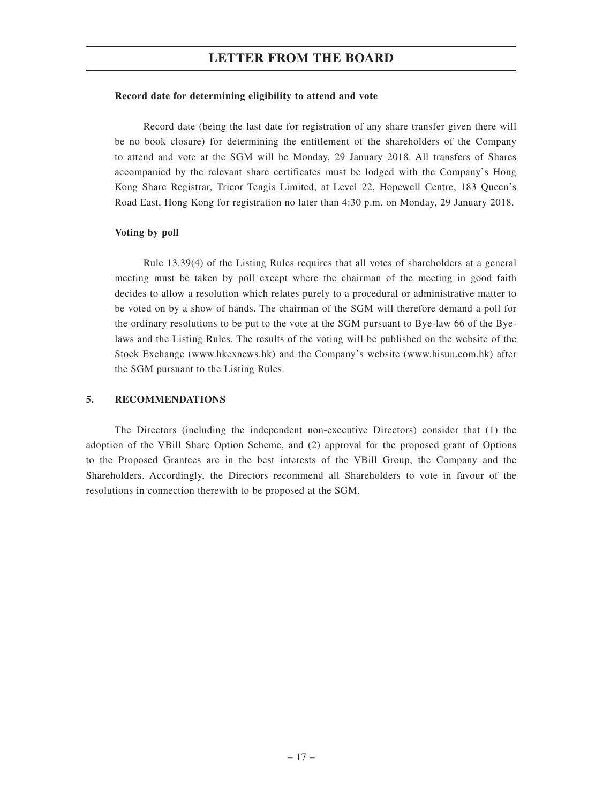#### **Record date for determining eligibility to attend and vote**

Record date (being the last date for registration of any share transfer given there will be no book closure) for determining the entitlement of the shareholders of the Company to attend and vote at the SGM will be Monday, 29 January 2018. All transfers of Shares accompanied by the relevant share certificates must be lodged with the Company's Hong Kong Share Registrar, Tricor Tengis Limited, at Level 22, Hopewell Centre, 183 Queen's Road East, Hong Kong for registration no later than 4:30 p.m. on Monday, 29 January 2018.

#### **Voting by poll**

Rule 13.39(4) of the Listing Rules requires that all votes of shareholders at a general meeting must be taken by poll except where the chairman of the meeting in good faith decides to allow a resolution which relates purely to a procedural or administrative matter to be voted on by a show of hands. The chairman of the SGM will therefore demand a poll for the ordinary resolutions to be put to the vote at the SGM pursuant to Bye-law 66 of the Byelaws and the Listing Rules. The results of the voting will be published on the website of the Stock Exchange (www.hkexnews.hk) and the Company's website (www.hisun.com.hk) after the SGM pursuant to the Listing Rules.

#### **5. RECOMMENDATIONS**

The Directors (including the independent non-executive Directors) consider that (1) the adoption of the VBill Share Option Scheme, and (2) approval for the proposed grant of Options to the Proposed Grantees are in the best interests of the VBill Group, the Company and the Shareholders. Accordingly, the Directors recommend all Shareholders to vote in favour of the resolutions in connection therewith to be proposed at the SGM.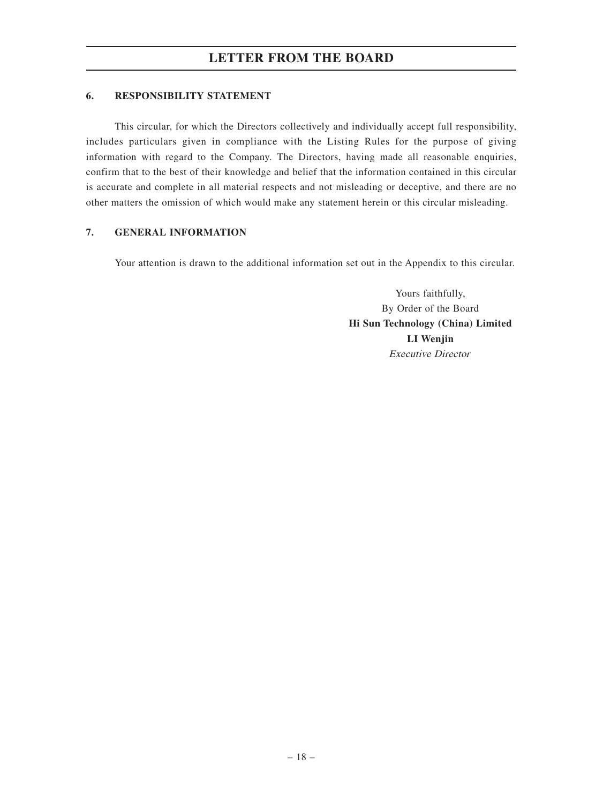### **6. RESPONSIBILITY STATEMENT**

This circular, for which the Directors collectively and individually accept full responsibility, includes particulars given in compliance with the Listing Rules for the purpose of giving information with regard to the Company. The Directors, having made all reasonable enquiries, confirm that to the best of their knowledge and belief that the information contained in this circular is accurate and complete in all material respects and not misleading or deceptive, and there are no other matters the omission of which would make any statement herein or this circular misleading.

### **7. GENERAL INFORMATION**

Your attention is drawn to the additional information set out in the Appendix to this circular.

Yours faithfully, By Order of the Board **Hi Sun Technology (China) Limited LI Wenjin** Executive Director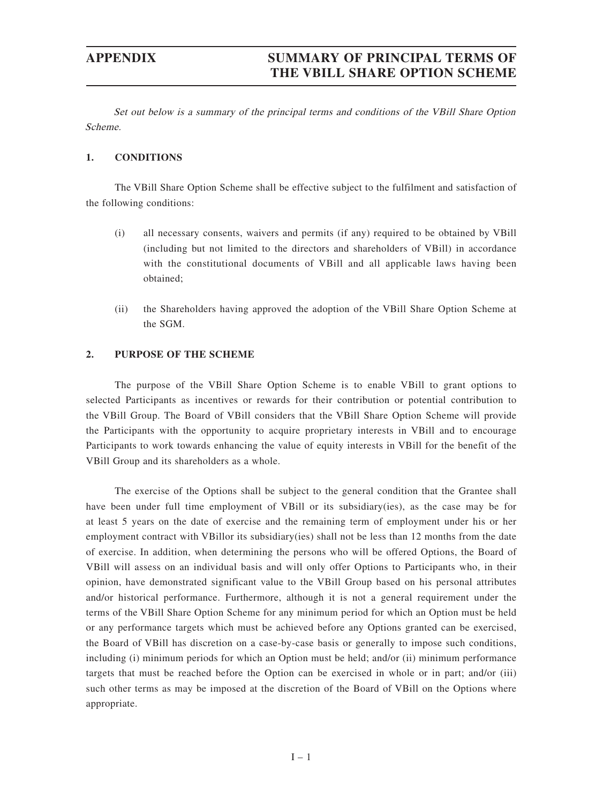## **APPENDIX SUMMARY OF PRINCIPAL TERMS OF THE VBILL SHARE OPTION SCHEME**

Set out below is a summary of the principal terms and conditions of the VBill Share Option Scheme.

#### **1. CONDITIONS**

The VBill Share Option Scheme shall be effective subject to the fulfilment and satisfaction of the following conditions:

- (i) all necessary consents, waivers and permits (if any) required to be obtained by VBill (including but not limited to the directors and shareholders of VBill) in accordance with the constitutional documents of VBill and all applicable laws having been obtained;
- (ii) the Shareholders having approved the adoption of the VBill Share Option Scheme at the SGM.

#### **2. PURPOSE OF THE SCHEME**

The purpose of the VBill Share Option Scheme is to enable VBill to grant options to selected Participants as incentives or rewards for their contribution or potential contribution to the VBill Group. The Board of VBill considers that the VBill Share Option Scheme will provide the Participants with the opportunity to acquire proprietary interests in VBill and to encourage Participants to work towards enhancing the value of equity interests in VBill for the benefit of the VBill Group and its shareholders as a whole.

The exercise of the Options shall be subject to the general condition that the Grantee shall have been under full time employment of VBill or its subsidiary(ies), as the case may be for at least 5 years on the date of exercise and the remaining term of employment under his or her employment contract with VBillor its subsidiary(ies) shall not be less than 12 months from the date of exercise. In addition, when determining the persons who will be offered Options, the Board of VBill will assess on an individual basis and will only offer Options to Participants who, in their opinion, have demonstrated significant value to the VBill Group based on his personal attributes and/or historical performance. Furthermore, although it is not a general requirement under the terms of the VBill Share Option Scheme for any minimum period for which an Option must be held or any performance targets which must be achieved before any Options granted can be exercised, the Board of VBill has discretion on a case-by-case basis or generally to impose such conditions, including (i) minimum periods for which an Option must be held; and/or (ii) minimum performance targets that must be reached before the Option can be exercised in whole or in part; and/or (iii) such other terms as may be imposed at the discretion of the Board of VBill on the Options where appropriate.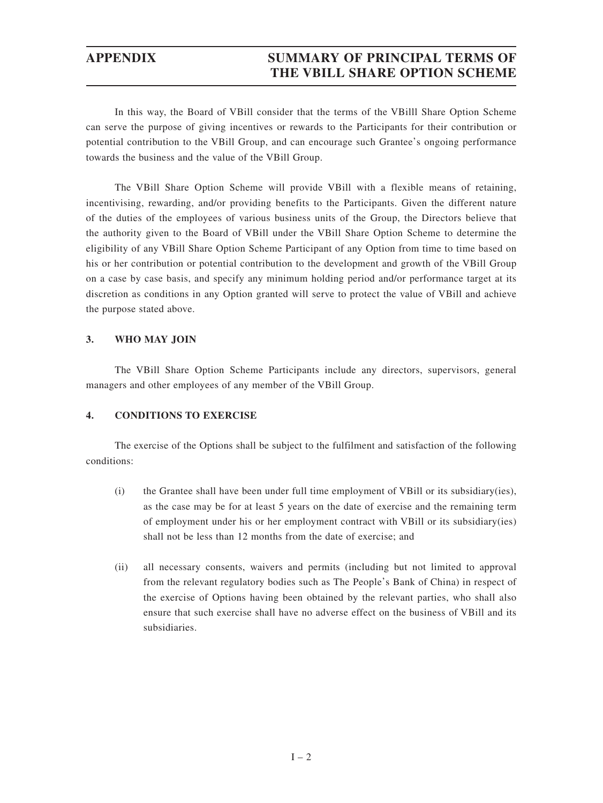## **APPENDIX SUMMARY OF PRINCIPAL TERMS OF THE VBILL SHARE OPTION SCHEME**

In this way, the Board of VBill consider that the terms of the VBilll Share Option Scheme can serve the purpose of giving incentives or rewards to the Participants for their contribution or potential contribution to the VBill Group, and can encourage such Grantee's ongoing performance towards the business and the value of the VBill Group.

The VBill Share Option Scheme will provide VBill with a flexible means of retaining, incentivising, rewarding, and/or providing benefits to the Participants. Given the different nature of the duties of the employees of various business units of the Group, the Directors believe that the authority given to the Board of VBill under the VBill Share Option Scheme to determine the eligibility of any VBill Share Option Scheme Participant of any Option from time to time based on his or her contribution or potential contribution to the development and growth of the VBill Group on a case by case basis, and specify any minimum holding period and/or performance target at its discretion as conditions in any Option granted will serve to protect the value of VBill and achieve the purpose stated above.

### **3. WHO MAY JOIN**

The VBill Share Option Scheme Participants include any directors, supervisors, general managers and other employees of any member of the VBill Group.

### **4. CONDITIONS TO EXERCISE**

The exercise of the Options shall be subject to the fulfilment and satisfaction of the following conditions:

- (i) the Grantee shall have been under full time employment of VBill or its subsidiary(ies), as the case may be for at least 5 years on the date of exercise and the remaining term of employment under his or her employment contract with VBill or its subsidiary(ies) shall not be less than 12 months from the date of exercise; and
- (ii) all necessary consents, waivers and permits (including but not limited to approval from the relevant regulatory bodies such as The People's Bank of China) in respect of the exercise of Options having been obtained by the relevant parties, who shall also ensure that such exercise shall have no adverse effect on the business of VBill and its subsidiaries.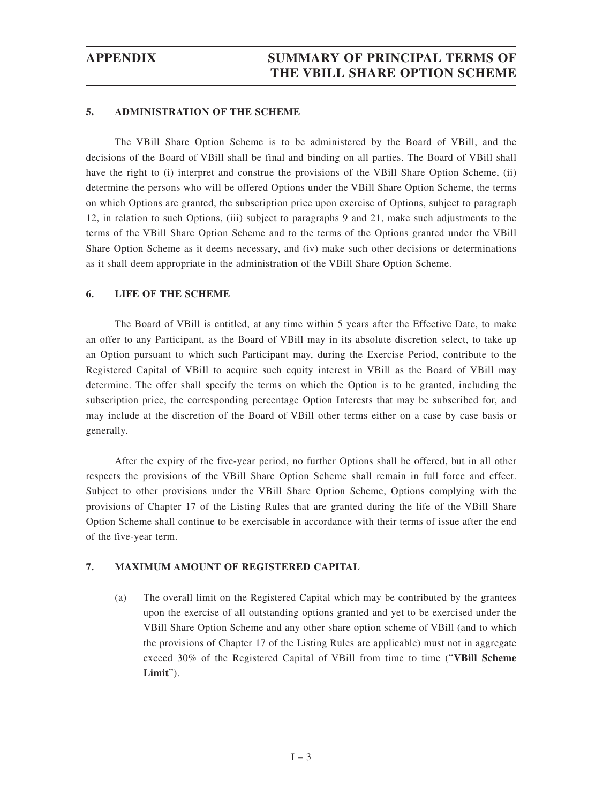#### **5. ADMINISTRATION OF THE SCHEME**

The VBill Share Option Scheme is to be administered by the Board of VBill, and the decisions of the Board of VBill shall be final and binding on all parties. The Board of VBill shall have the right to (i) interpret and construe the provisions of the VBill Share Option Scheme, (ii) determine the persons who will be offered Options under the VBill Share Option Scheme, the terms on which Options are granted, the subscription price upon exercise of Options, subject to paragraph 12, in relation to such Options, (iii) subject to paragraphs 9 and 21, make such adjustments to the terms of the VBill Share Option Scheme and to the terms of the Options granted under the VBill Share Option Scheme as it deems necessary, and (iv) make such other decisions or determinations as it shall deem appropriate in the administration of the VBill Share Option Scheme.

#### **6. LIFE OF THE SCHEME**

The Board of VBill is entitled, at any time within 5 years after the Effective Date, to make an offer to any Participant, as the Board of VBill may in its absolute discretion select, to take up an Option pursuant to which such Participant may, during the Exercise Period, contribute to the Registered Capital of VBill to acquire such equity interest in VBill as the Board of VBill may determine. The offer shall specify the terms on which the Option is to be granted, including the subscription price, the corresponding percentage Option Interests that may be subscribed for, and may include at the discretion of the Board of VBill other terms either on a case by case basis or generally.

After the expiry of the five-year period, no further Options shall be offered, but in all other respects the provisions of the VBill Share Option Scheme shall remain in full force and effect. Subject to other provisions under the VBill Share Option Scheme, Options complying with the provisions of Chapter 17 of the Listing Rules that are granted during the life of the VBill Share Option Scheme shall continue to be exercisable in accordance with their terms of issue after the end of the five-year term.

### **7. MAXIMUM AMOUNT OF REGISTERED CAPITAL**

(a) The overall limit on the Registered Capital which may be contributed by the grantees upon the exercise of all outstanding options granted and yet to be exercised under the VBill Share Option Scheme and any other share option scheme of VBill (and to which the provisions of Chapter 17 of the Listing Rules are applicable) must not in aggregate exceed 30% of the Registered Capital of VBill from time to time ("**VBill Scheme Limit**").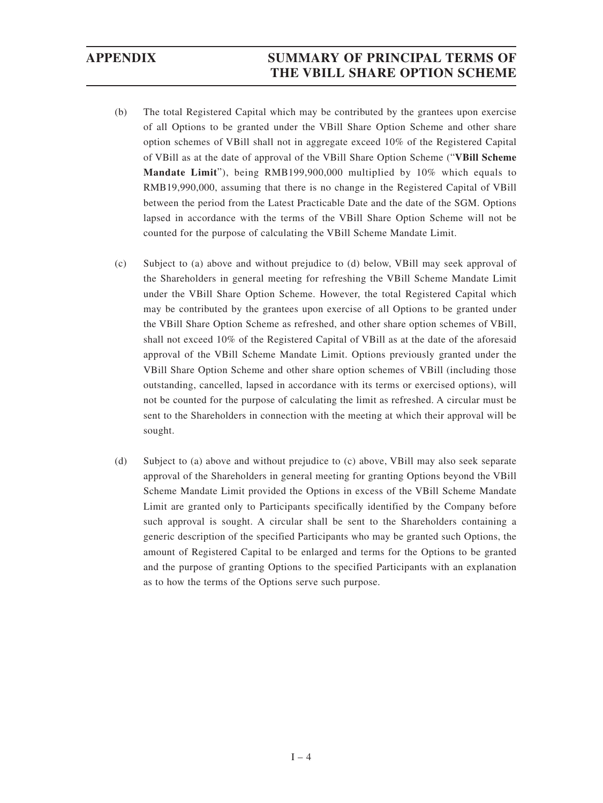## **APPENDIX SUMMARY OF PRINCIPAL TERMS OF THE VBILL SHARE OPTION SCHEME**

- (b) The total Registered Capital which may be contributed by the grantees upon exercise of all Options to be granted under the VBill Share Option Scheme and other share option schemes of VBill shall not in aggregate exceed 10% of the Registered Capital of VBill as at the date of approval of the VBill Share Option Scheme ("**VBill Scheme Mandate Limit**"), being RMB199,900,000 multiplied by 10% which equals to RMB19,990,000, assuming that there is no change in the Registered Capital of VBill between the period from the Latest Practicable Date and the date of the SGM. Options lapsed in accordance with the terms of the VBill Share Option Scheme will not be counted for the purpose of calculating the VBill Scheme Mandate Limit.
- (c) Subject to (a) above and without prejudice to (d) below, VBill may seek approval of the Shareholders in general meeting for refreshing the VBill Scheme Mandate Limit under the VBill Share Option Scheme. However, the total Registered Capital which may be contributed by the grantees upon exercise of all Options to be granted under the VBill Share Option Scheme as refreshed, and other share option schemes of VBill, shall not exceed 10% of the Registered Capital of VBill as at the date of the aforesaid approval of the VBill Scheme Mandate Limit. Options previously granted under the VBill Share Option Scheme and other share option schemes of VBill (including those outstanding, cancelled, lapsed in accordance with its terms or exercised options), will not be counted for the purpose of calculating the limit as refreshed. A circular must be sent to the Shareholders in connection with the meeting at which their approval will be sought.
- (d) Subject to (a) above and without prejudice to (c) above, VBill may also seek separate approval of the Shareholders in general meeting for granting Options beyond the VBill Scheme Mandate Limit provided the Options in excess of the VBill Scheme Mandate Limit are granted only to Participants specifically identified by the Company before such approval is sought. A circular shall be sent to the Shareholders containing a generic description of the specified Participants who may be granted such Options, the amount of Registered Capital to be enlarged and terms for the Options to be granted and the purpose of granting Options to the specified Participants with an explanation as to how the terms of the Options serve such purpose.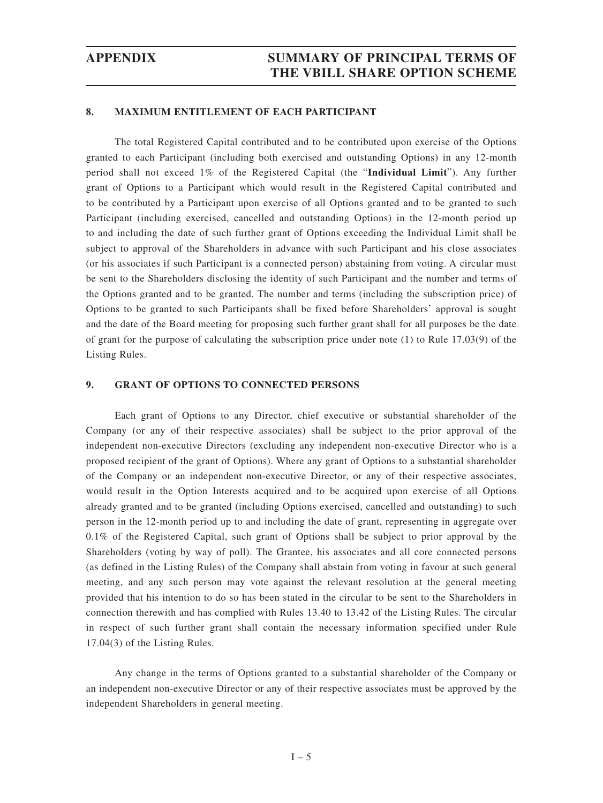#### **8. MAXIMUM ENTITLEMENT OF EACH PARTICIPANT**

The total Registered Capital contributed and to be contributed upon exercise of the Options granted to each Participant (including both exercised and outstanding Options) in any 12-month period shall not exceed 1% of the Registered Capital (the "**Individual Limit**"). Any further grant of Options to a Participant which would result in the Registered Capital contributed and to be contributed by a Participant upon exercise of all Options granted and to be granted to such Participant (including exercised, cancelled and outstanding Options) in the 12-month period up to and including the date of such further grant of Options exceeding the Individual Limit shall be subject to approval of the Shareholders in advance with such Participant and his close associates (or his associates if such Participant is a connected person) abstaining from voting. A circular must be sent to the Shareholders disclosing the identity of such Participant and the number and terms of the Options granted and to be granted. The number and terms (including the subscription price) of Options to be granted to such Participants shall be fixed before Shareholders' approval is sought and the date of the Board meeting for proposing such further grant shall for all purposes be the date of grant for the purpose of calculating the subscription price under note (1) to Rule 17.03(9) of the Listing Rules.

#### **9. GRANT OF OPTIONS TO CONNECTED PERSONS**

Each grant of Options to any Director, chief executive or substantial shareholder of the Company (or any of their respective associates) shall be subject to the prior approval of the independent non-executive Directors (excluding any independent non-executive Director who is a proposed recipient of the grant of Options). Where any grant of Options to a substantial shareholder of the Company or an independent non-executive Director, or any of their respective associates, would result in the Option Interests acquired and to be acquired upon exercise of all Options already granted and to be granted (including Options exercised, cancelled and outstanding) to such person in the 12-month period up to and including the date of grant, representing in aggregate over 0.1% of the Registered Capital, such grant of Options shall be subject to prior approval by the Shareholders (voting by way of poll). The Grantee, his associates and all core connected persons (as defined in the Listing Rules) of the Company shall abstain from voting in favour at such general meeting, and any such person may vote against the relevant resolution at the general meeting provided that his intention to do so has been stated in the circular to be sent to the Shareholders in connection therewith and has complied with Rules 13.40 to 13.42 of the Listing Rules. The circular in respect of such further grant shall contain the necessary information specified under Rule 17.04(3) of the Listing Rules.

Any change in the terms of Options granted to a substantial shareholder of the Company or an independent non-executive Director or any of their respective associates must be approved by the independent Shareholders in general meeting.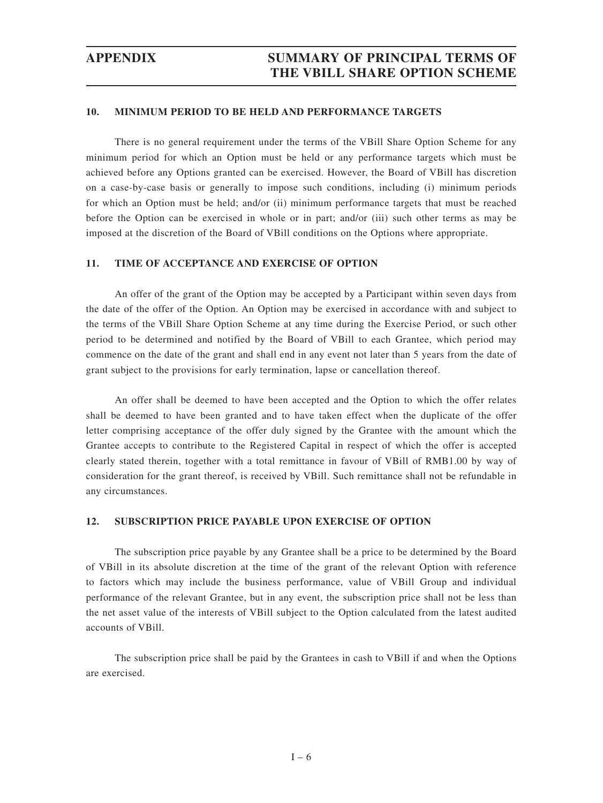## **APPENDIX SUMMARY OF PRINCIPAL TERMS OF THE VBILL SHARE OPTION SCHEME**

#### **10. MINIMUM PERIOD TO BE HELD AND PERFORMANCE TARGETS**

There is no general requirement under the terms of the VBill Share Option Scheme for any minimum period for which an Option must be held or any performance targets which must be achieved before any Options granted can be exercised. However, the Board of VBill has discretion on a case-by-case basis or generally to impose such conditions, including (i) minimum periods for which an Option must be held; and/or (ii) minimum performance targets that must be reached before the Option can be exercised in whole or in part; and/or (iii) such other terms as may be imposed at the discretion of the Board of VBill conditions on the Options where appropriate.

#### **11. TIME OF ACCEPTANCE AND EXERCISE OF OPTION**

An offer of the grant of the Option may be accepted by a Participant within seven days from the date of the offer of the Option. An Option may be exercised in accordance with and subject to the terms of the VBill Share Option Scheme at any time during the Exercise Period, or such other period to be determined and notified by the Board of VBill to each Grantee, which period may commence on the date of the grant and shall end in any event not later than 5 years from the date of grant subject to the provisions for early termination, lapse or cancellation thereof.

An offer shall be deemed to have been accepted and the Option to which the offer relates shall be deemed to have been granted and to have taken effect when the duplicate of the offer letter comprising acceptance of the offer duly signed by the Grantee with the amount which the Grantee accepts to contribute to the Registered Capital in respect of which the offer is accepted clearly stated therein, together with a total remittance in favour of VBill of RMB1.00 by way of consideration for the grant thereof, is received by VBill. Such remittance shall not be refundable in any circumstances.

#### **12. SUBSCRIPTION PRICE PAYABLE UPON EXERCISE OF OPTION**

The subscription price payable by any Grantee shall be a price to be determined by the Board of VBill in its absolute discretion at the time of the grant of the relevant Option with reference to factors which may include the business performance, value of VBill Group and individual performance of the relevant Grantee, but in any event, the subscription price shall not be less than the net asset value of the interests of VBill subject to the Option calculated from the latest audited accounts of VBill.

The subscription price shall be paid by the Grantees in cash to VBill if and when the Options are exercised.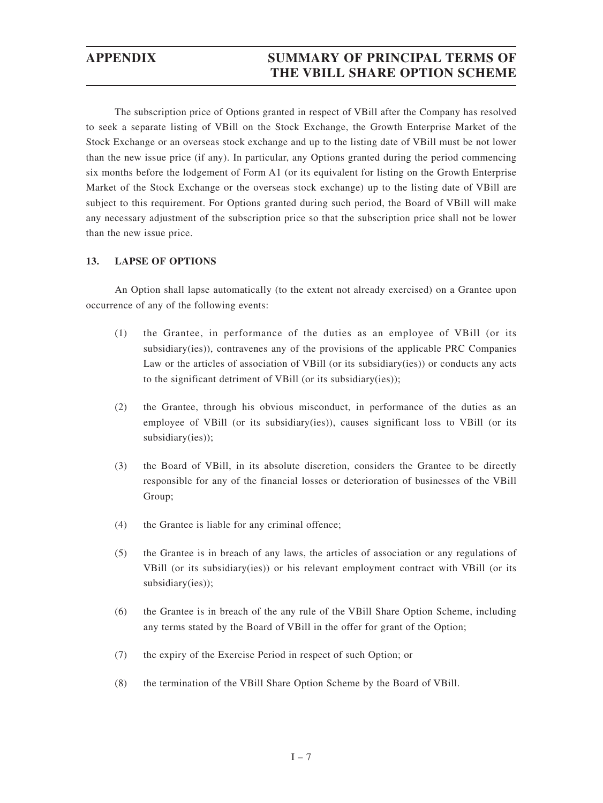## **APPENDIX SUMMARY OF PRINCIPAL TERMS OF THE VBILL SHARE OPTION SCHEME**

The subscription price of Options granted in respect of VBill after the Company has resolved to seek a separate listing of VBill on the Stock Exchange, the Growth Enterprise Market of the Stock Exchange or an overseas stock exchange and up to the listing date of VBill must be not lower than the new issue price (if any). In particular, any Options granted during the period commencing six months before the lodgement of Form A1 (or its equivalent for listing on the Growth Enterprise Market of the Stock Exchange or the overseas stock exchange) up to the listing date of VBill are subject to this requirement. For Options granted during such period, the Board of VBill will make any necessary adjustment of the subscription price so that the subscription price shall not be lower than the new issue price.

#### **13. LAPSE OF OPTIONS**

An Option shall lapse automatically (to the extent not already exercised) on a Grantee upon occurrence of any of the following events:

- (1) the Grantee, in performance of the duties as an employee of VBill (or its subsidiary(ies)), contravenes any of the provisions of the applicable PRC Companies Law or the articles of association of VBill (or its subsidiary(ies)) or conducts any acts to the significant detriment of VBill (or its subsidiary(ies));
- (2) the Grantee, through his obvious misconduct, in performance of the duties as an employee of VBill (or its subsidiary(ies)), causes significant loss to VBill (or its subsidiary(ies));
- (3) the Board of VBill, in its absolute discretion, considers the Grantee to be directly responsible for any of the financial losses or deterioration of businesses of the VBill Group;
- (4) the Grantee is liable for any criminal offence;
- (5) the Grantee is in breach of any laws, the articles of association or any regulations of VBill (or its subsidiary(ies)) or his relevant employment contract with VBill (or its subsidiary(ies));
- (6) the Grantee is in breach of the any rule of the VBill Share Option Scheme, including any terms stated by the Board of VBill in the offer for grant of the Option;
- (7) the expiry of the Exercise Period in respect of such Option; or
- (8) the termination of the VBill Share Option Scheme by the Board of VBill.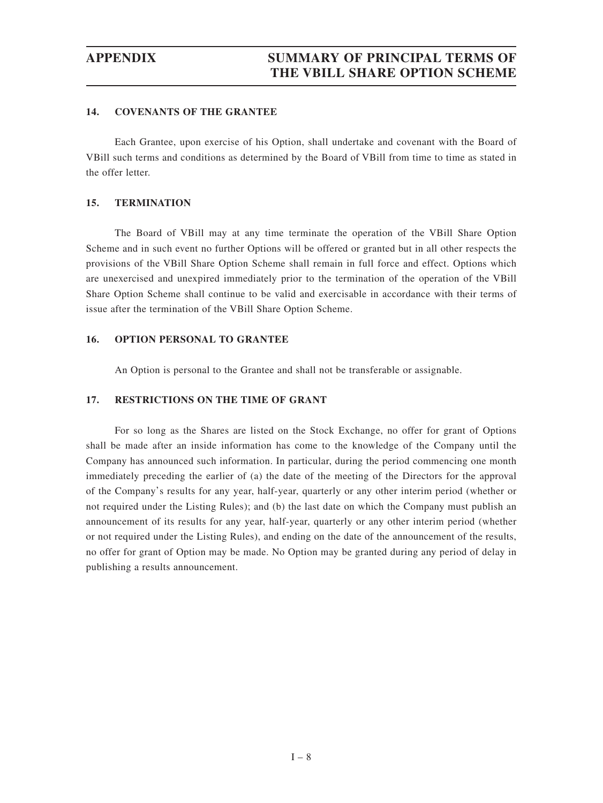#### **14. COVENANTS OF THE GRANTEE**

Each Grantee, upon exercise of his Option, shall undertake and covenant with the Board of VBill such terms and conditions as determined by the Board of VBill from time to time as stated in the offer letter.

#### **15. TERMINATION**

The Board of VBill may at any time terminate the operation of the VBill Share Option Scheme and in such event no further Options will be offered or granted but in all other respects the provisions of the VBill Share Option Scheme shall remain in full force and effect. Options which are unexercised and unexpired immediately prior to the termination of the operation of the VBill Share Option Scheme shall continue to be valid and exercisable in accordance with their terms of issue after the termination of the VBill Share Option Scheme.

#### **16. OPTION PERSONAL TO GRANTEE**

An Option is personal to the Grantee and shall not be transferable or assignable.

### **17. RESTRICTIONS ON THE TIME OF GRANT**

For so long as the Shares are listed on the Stock Exchange, no offer for grant of Options shall be made after an inside information has come to the knowledge of the Company until the Company has announced such information. In particular, during the period commencing one month immediately preceding the earlier of (a) the date of the meeting of the Directors for the approval of the Company's results for any year, half-year, quarterly or any other interim period (whether or not required under the Listing Rules); and (b) the last date on which the Company must publish an announcement of its results for any year, half-year, quarterly or any other interim period (whether or not required under the Listing Rules), and ending on the date of the announcement of the results, no offer for grant of Option may be made. No Option may be granted during any period of delay in publishing a results announcement.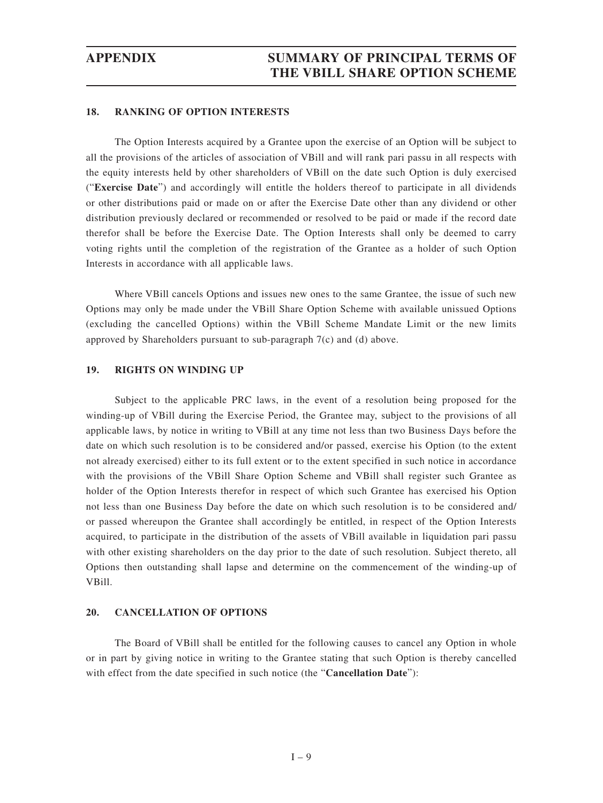#### **18. RANKING OF OPTION INTERESTS**

The Option Interests acquired by a Grantee upon the exercise of an Option will be subject to all the provisions of the articles of association of VBill and will rank pari passu in all respects with the equity interests held by other shareholders of VBill on the date such Option is duly exercised ("**Exercise Date**") and accordingly will entitle the holders thereof to participate in all dividends or other distributions paid or made on or after the Exercise Date other than any dividend or other distribution previously declared or recommended or resolved to be paid or made if the record date therefor shall be before the Exercise Date. The Option Interests shall only be deemed to carry voting rights until the completion of the registration of the Grantee as a holder of such Option Interests in accordance with all applicable laws.

Where VBill cancels Options and issues new ones to the same Grantee, the issue of such new Options may only be made under the VBill Share Option Scheme with available unissued Options (excluding the cancelled Options) within the VBill Scheme Mandate Limit or the new limits approved by Shareholders pursuant to sub-paragraph 7(c) and (d) above.

#### **19. RIGHTS ON WINDING UP**

Subject to the applicable PRC laws, in the event of a resolution being proposed for the winding-up of VBill during the Exercise Period, the Grantee may, subject to the provisions of all applicable laws, by notice in writing to VBill at any time not less than two Business Days before the date on which such resolution is to be considered and/or passed, exercise his Option (to the extent not already exercised) either to its full extent or to the extent specified in such notice in accordance with the provisions of the VBill Share Option Scheme and VBill shall register such Grantee as holder of the Option Interests therefor in respect of which such Grantee has exercised his Option not less than one Business Day before the date on which such resolution is to be considered and/ or passed whereupon the Grantee shall accordingly be entitled, in respect of the Option Interests acquired, to participate in the distribution of the assets of VBill available in liquidation pari passu with other existing shareholders on the day prior to the date of such resolution. Subject thereto, all Options then outstanding shall lapse and determine on the commencement of the winding-up of VBill.

#### **20. CANCELLATION OF OPTIONS**

The Board of VBill shall be entitled for the following causes to cancel any Option in whole or in part by giving notice in writing to the Grantee stating that such Option is thereby cancelled with effect from the date specified in such notice (the "**Cancellation Date**"):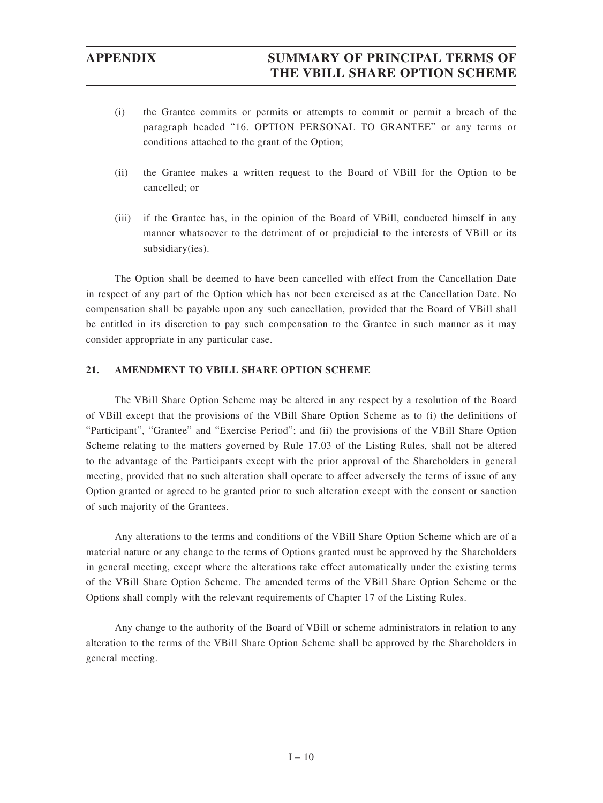- (i) the Grantee commits or permits or attempts to commit or permit a breach of the paragraph headed "16. OPTION PERSONAL TO GRANTEE" or any terms or conditions attached to the grant of the Option;
- (ii) the Grantee makes a written request to the Board of VBill for the Option to be cancelled; or
- (iii) if the Grantee has, in the opinion of the Board of VBill, conducted himself in any manner whatsoever to the detriment of or prejudicial to the interests of VBill or its subsidiary(ies).

The Option shall be deemed to have been cancelled with effect from the Cancellation Date in respect of any part of the Option which has not been exercised as at the Cancellation Date. No compensation shall be payable upon any such cancellation, provided that the Board of VBill shall be entitled in its discretion to pay such compensation to the Grantee in such manner as it may consider appropriate in any particular case.

### **21. AMENDMENT TO VBILL SHARE OPTION SCHEME**

The VBill Share Option Scheme may be altered in any respect by a resolution of the Board of VBill except that the provisions of the VBill Share Option Scheme as to (i) the definitions of "Participant", "Grantee" and "Exercise Period"; and (ii) the provisions of the VBill Share Option Scheme relating to the matters governed by Rule 17.03 of the Listing Rules, shall not be altered to the advantage of the Participants except with the prior approval of the Shareholders in general meeting, provided that no such alteration shall operate to affect adversely the terms of issue of any Option granted or agreed to be granted prior to such alteration except with the consent or sanction of such majority of the Grantees.

Any alterations to the terms and conditions of the VBill Share Option Scheme which are of a material nature or any change to the terms of Options granted must be approved by the Shareholders in general meeting, except where the alterations take effect automatically under the existing terms of the VBill Share Option Scheme. The amended terms of the VBill Share Option Scheme or the Options shall comply with the relevant requirements of Chapter 17 of the Listing Rules.

Any change to the authority of the Board of VBill or scheme administrators in relation to any alteration to the terms of the VBill Share Option Scheme shall be approved by the Shareholders in general meeting.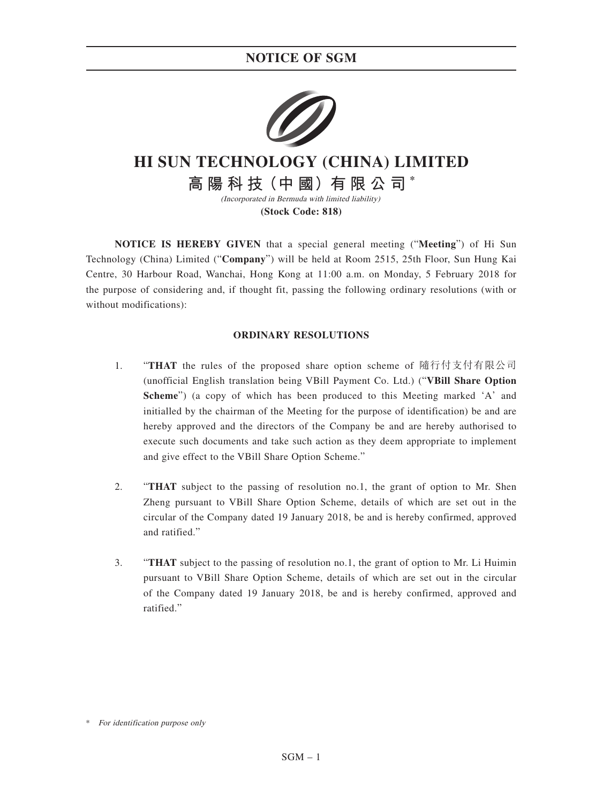## **NOTICE OF SGM**



# **HI SUN TECHNOLOGY (CHINA) LIMITED**

**高 陽 科 技(中 國)有 限 公 司 \*** (Incorporated in Bermuda with limited liability)

**(Stock Code: 818)**

**NOTICE IS HEREBY GIVEN** that a special general meeting ("**Meeting**") of Hi Sun Technology (China) Limited ("**Company**") will be held at Room 2515, 25th Floor, Sun Hung Kai Centre, 30 Harbour Road, Wanchai, Hong Kong at 11:00 a.m. on Monday, 5 February 2018 for the purpose of considering and, if thought fit, passing the following ordinary resolutions (with or without modifications):

### **ORDINARY RESOLUTIONS**

- 1. "**THAT** the rules of the proposed share option scheme of 隨行付支付有限公司 (unofficial English translation being VBill Payment Co. Ltd.) ("**VBill Share Option Scheme**") (a copy of which has been produced to this Meeting marked 'A' and initialled by the chairman of the Meeting for the purpose of identification) be and are hereby approved and the directors of the Company be and are hereby authorised to execute such documents and take such action as they deem appropriate to implement and give effect to the VBill Share Option Scheme."
- 2. "**THAT** subject to the passing of resolution no.1, the grant of option to Mr. Shen Zheng pursuant to VBill Share Option Scheme, details of which are set out in the circular of the Company dated 19 January 2018, be and is hereby confirmed, approved and ratified."
- 3. "**THAT** subject to the passing of resolution no.1, the grant of option to Mr. Li Huimin pursuant to VBill Share Option Scheme, details of which are set out in the circular of the Company dated 19 January 2018, be and is hereby confirmed, approved and ratified."

For identification purpose only